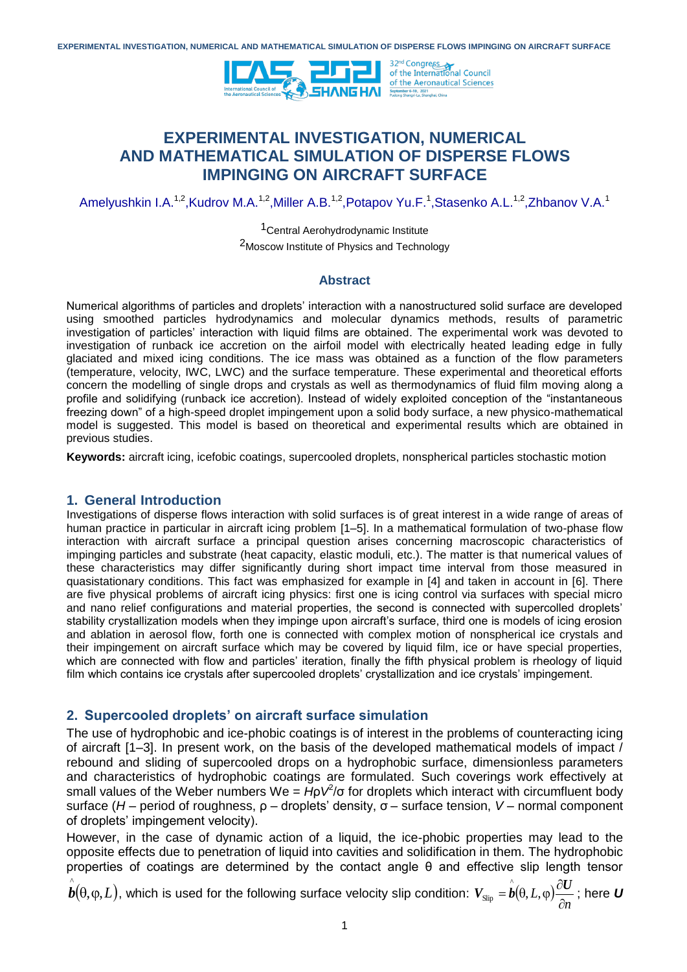

# **EXPERIMENTAL INVESTIGATION, NUMERICAL AND MATHEMATICAL SIMULATION OF DISPERSE FLOWS IMPINGING ON AIRCRAFT SURFACE**

Amelyushkin I.A.<sup>1,2</sup>,Kudrov M.A.<sup>1,2</sup>,Miller A.B.<sup>1,2</sup>,Potapov Yu.F.<sup>1</sup>,Stasenko A.L.<sup>1,2</sup>,Zhbanov V.A.<sup>1</sup>

1Central Aerohydrodynamic Institute

2Moscow Institute of Physics and Technology

#### **Abstract**

Numerical algorithms of particles and droplets' interaction with a nanostructured solid surface are developed using smoothed particles hydrodynamics and molecular dynamics methods, results of parametric investigation of particles' interaction with liquid films are obtained. The experimental work was devoted to investigation of runback ice accretion on the airfoil model with electrically heated leading edge in fully glaciated and mixed icing conditions. The ice mass was obtained as a function of the flow parameters (temperature, velocity, IWC, LWC) and the surface temperature. These experimental and theoretical efforts concern the modelling of single drops and crystals as well as thermodynamics of fluid film moving along a profile and solidifying (runback ice accretion). Instead of widely exploited conception of the "instantaneous freezing down" of a high-speed droplet impingement upon a solid body surface, a new physico-mathematical model is suggested. This model is based on theoretical and experimental results which are obtained in previous studies.

**Keywords:** aircraft icing, icefobic coatings, supercooled droplets, nonspherical particles stochastic motion

## **1. General Introduction**

Investigations of disperse flows interaction with solid surfaces is of great interest in a wide range of areas of human practice in particular in aircraft icing problem [1–5]. In a mathematical formulation of two-phase flow interaction with aircraft surface a principal question arises concerning macroscopic characteristics of impinging particles and substrate (heat capacity, elastic moduli, etc.). The matter is that numerical values of these characteristics may differ significantly during short impact time interval from those measured in quasistationary conditions. This fact was emphasized for example in [4] and taken in account in [6]. There are five physical problems of aircraft icing physics: first one is icing control via surfaces with special micro and nano relief configurations and material properties, the second is connected with supercolled droplets' stability crystallization models when they impinge upon aircraft's surface, third one is models of icing erosion and ablation in aerosol flow, forth one is connected with complex motion of nonspherical ice crystals and their impingement on aircraft surface which may be covered by liquid film, ice or have special properties, which are connected with flow and particles' iteration, finally the fifth physical problem is rheology of liquid film which contains ice crystals after supercooled droplets' crystallization and ice crystals' impingement.

## **2. Supercooled droplets' on aircraft surface simulation**

The use of hydrophobic and ice-phobic coatings is of interest in the problems of counteracting icing of aircraft [1–3]. In present work, on the basis of the developed mathematical models of impact / rebound and sliding of supercooled drops on a hydrophobic surface, dimensionless parameters and characteristics of hydrophobic coatings are formulated. Such coverings work effectively at small values of the Weber numbers We =  $\vec{H}$   $\varphi$  for droplets which interact with circumfluent body surface (*H* – period of roughness, ρ – droplets' density, σ – surface tension, *V* – normal component of droplets' impingement velocity).

However, in the case of dynamic action of a liquid, the ice-phobic properties may lead to the opposite effects due to penetration of liquid into cavities and solidification in them. The hydrophobic properties of coatings are determined by the contact angle θ and effective slip length tensor

 $\hat{\bm{b}}(\theta,\phi,L)$ , which is used for the following surface velocity slip condition:  $\bm{V}_{\text{Slip}} = \hat{\bm{b}}(\theta,L,\phi)$ *n L*  $\partial$  $V_{\text{Slin}} = \hat{b}(\theta, L, \varphi) \frac{\partial U}{\partial \varphi}$  $S_{\rm slip} = \bm{b}(\theta, L, \phi)$   $\frac{\partial \bm{\Theta}}{\partial \bm{\omega}}$  ; here  $\bm{U}$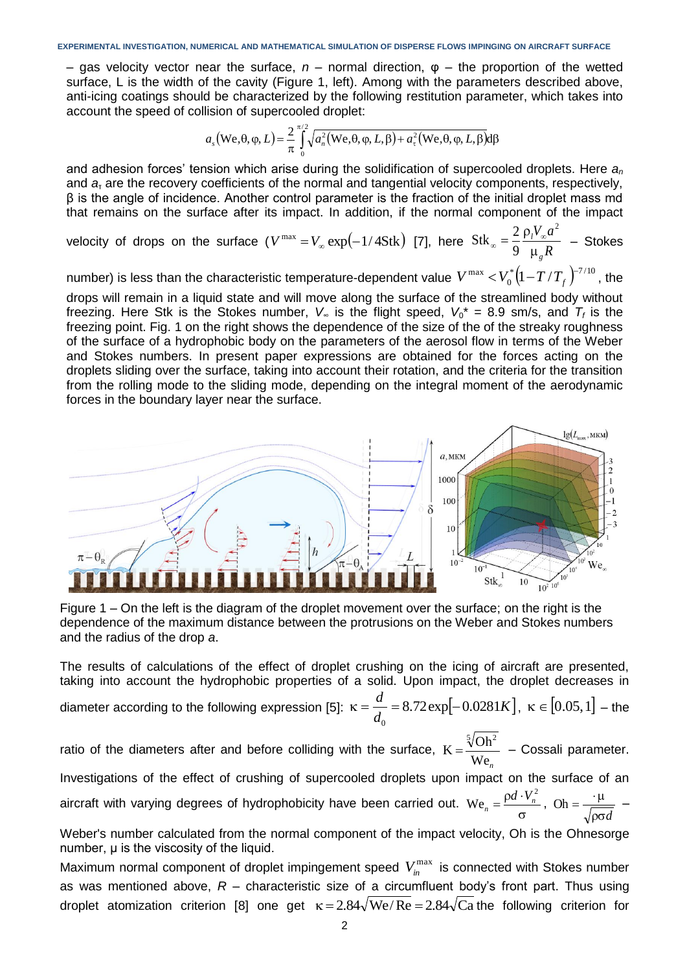– gas velocity vector near the surface, *n* – normal direction, φ – the proportion of the wetted surface, L is the width of the cavity (Figure 1, left). Among with the parameters described above, anti-icing coatings should be characterized by the following restitution parameter, which takes into account the speed of collision of supercooled droplet:

$$
a_s(\mathbf{W}\mathbf{e},\theta,\varphi,L) = \frac{2}{\pi} \int_0^{\pi/2} \sqrt{a_n^2(\mathbf{W}\mathbf{e},\theta,\varphi,L,\beta) + a_\tau^2(\mathbf{W}\mathbf{e},\theta,\varphi,L,\beta)} d\beta
$$

and adhesion forces' tension which arise during the solidification of supercooled droplets. Here *a<sup>n</sup>* and *a*<sup>τ</sup> are the recovery coefficients of the normal and tangential velocity components, respectively, β is the angle of incidence. Another control parameter is the fraction of the initial droplet mass md that remains on the surface after its impact. In addition, if the normal component of the impact

velocity of drops on the surface  $(V^{max} = V_{\infty} \exp(-1/4Stk)$  [7], here  $Stk_{\infty} = \frac{2}{9} \frac{Vl^{2} \pi^{2}}{\mu_{\varrho} R}$  $V_{\infty}a$ *g l*  $\mu$  $\alpha = \frac{2}{9} \frac{\rho_l V_{\infty}}{V_{\infty}}$ 2 9  $S$ tk<sub>∞</sub> =  $\frac{2}{9} \frac{\rho_l V_{\infty} a^2}{R}$  – Stokes

number) is less than the characteristic temperature-dependent value  $\,V^{\,\mathrm{max}} <\!V_0^*\big(1\!-\!T/T_{_f}\big)^{\!-\!7/10}\,$  $V^{\max} < V_0^* \left(1 - T/T_f\right)^{-7/10}$ , the

drops will remain in a liquid state and will move along the surface of the streamlined body without freezing. Here Stk is the Stokes number,  $V_{\infty}$  is the flight speed,  $V_0^* = 8.9$  sm/s, and  $T_f$  is the freezing point. Fig. 1 on the right shows the dependence of the size of the of the streaky roughness of the surface of a hydrophobic body on the parameters of the aerosol flow in terms of the Weber and Stokes numbers. In present paper expressions are obtained for the forces acting on the droplets sliding over the surface, taking into account their rotation, and the criteria for the transition from the rolling mode to the sliding mode, depending on the integral moment of the aerodynamic forces in the boundary layer near the surface.



Figure 1 – On the left is the diagram of the droplet movement over the surface; on the right is the dependence of the maximum distance between the protrusions on the Weber and Stokes numbers and the radius of the drop *a*.

The results of calculations of the effect of droplet crushing on the icing of aircraft are presented, taking into account the hydrophobic properties of a solid. Upon impact, the droplet decreases in diameter according to the following expression [5]:  $\kappa = \frac{u}{l} = 8.72 \exp[-0.0281 K]$ *d*  $\frac{d}{dt} = 8.72 \exp[-0.0281]$ 0  $\kappa = \frac{a}{l} = 8.72 \exp[-0.0281 K], \ \kappa \in [0.05, 1]$  – the

ratio of the diameters after and before colliding with the surface, We*<sup>n</sup>*  $K = \frac{\sqrt[5]{\text{Oh}^2}}{\text{II}}$  $=\frac{\sqrt{6}}{100}$  – Cossali parameter. Investigations of the effect of crushing of supercooled droplets upon impact on the surface of an aircraft with varying degrees of hydrophobicity have been carried out.  $\sigma$  $=\frac{p d \cdot }{p}$  $\text{We}_{n} = \frac{\rho d \cdot V_{n}^{2}}{I}$  $\frac{d \cdot V_n^2}{r}$ ,  $\rho \sigma d$ Oh =  $\frac{\mu}{\sqrt{2\pi}}$  –

Weber's number calculated from the normal component of the impact velocity, Oh is the Ohnesorge number, μ is the viscosity of the liquid.

Maximum normal component of droplet impingement speed  $V_{in}^{\max}$  is connected with Stokes number as was mentioned above, *R* – characteristic size of a circumfluent body's front part. Thus using droplet atomization criterion [8] one get  $\kappa = 2.84\sqrt{\text{We}}/\text{Re} = 2.84\sqrt{\text{Ca}}$  the following criterion for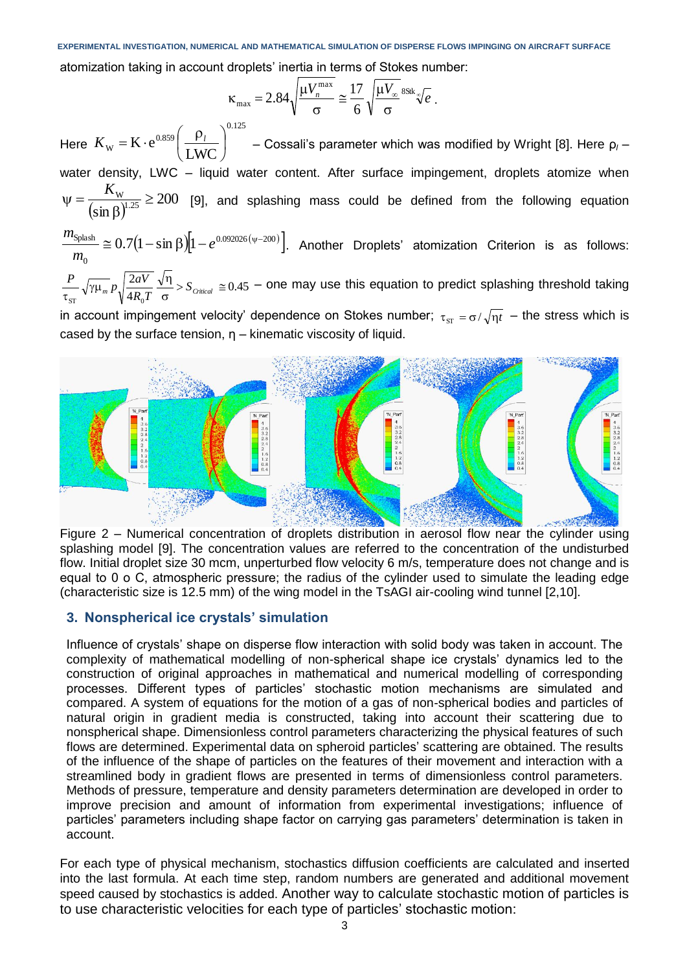atomization taking in account droplets' inertia in terms of Stokes number:

$$
\kappa_{\text{max}} = 2.84 \sqrt{\frac{\mu V_n^{\text{max}}}{\sigma}} \approx \frac{17}{6} \sqrt{\frac{\mu V_{\infty}}{\sigma}}^{\text{8Sk}} \sqrt{\epsilon}.
$$

Here 0.125 0.859  $W - W C$  (LWC  $K \cdot e^{0.859} \left| \frac{P_l}{I W C} \right|$  $\bigg)$  $\left( \right)$  $\mathsf{I}$  $\setminus$  $K_{\rm w}$  =  $\rm K\cdot e^{0.859}\bigg(\frac{\rho_l}{\rm EWC}\bigg)^{0.123}$  – Cossali's parameter which was modified by Wright [8]. Here  $\rho_l$  – water density, LWC - liquid water content. After surface impingement, droplets atomize when  $(\sin \beta)^{n}$ 200  $(\sin \beta)^{1.25}$  $\frac{W}{(8.1125)} \ge$ β  $\Psi = \frac{K}{\sqrt{2\pi}}$ [9], and splashing mass could be defined from the following equation *m*

 $(1-\sin \beta)$ |1  $-e^{0.092026(\psi-200)}$ |  $\boldsymbol{0}$  $\frac{\text{Splash}}{2} \cong 0.7 \big(1-\sin\beta\big)\big|1-e^{0.092026\left(\psi-\alpha\right)}\big|$ *m* . Another Droplets' atomization Criterion is as follows: 0.45 4 2  $> S_{\text{Critical}} \cong$  $\sigma$  $\frac{1}{\gamma \mu_m} p \sqrt{\frac{2aV}{4R}} \frac{\sqrt{\eta}}{L}$  $\frac{P}{\tau_{\rm ST}}\sqrt{\gamma\mu_{m}}p\sqrt{\frac{2aV}{4R_{0}T}}\frac{\sqrt{\eta}}{\sigma}$  >  $S_{\text{critical}}\cong 0.45$  – one may use this equation to predict splashing threshold taking

 $ST$   $V^{-1}$   $Q$ in account impingement velocity' dependence on Stokes number;  $\tau_{_{\text{ST}}}$  =  $\sigma/\sqrt{\eta}t\;$  – the stress which is cased by the surface tension,  $\eta$  – kinematic viscosity of liquid.



Figure 2 – Numerical concentration of droplets distribution in aerosol flow near the cylinder using splashing model [9]. The concentration values are referred to the concentration of the undisturbed flow. Initial droplet size 30 mcm, unperturbed flow velocity 6 m/s, temperature does not change and is equal to 0 o C, atmospheric pressure; the radius of the cylinder used to simulate the leading edge (characteristic size is 12.5 mm) of the wing model in the TsAGI air-cooling wind tunnel [2,10].

# **3. Nonspherical ice crystals' simulation**

Influence of crystals' shape on disperse flow interaction with solid body was taken in account. The complexity of mathematical modelling of non-spherical shape ice crystals' dynamics led to the construction of original approaches in mathematical and numerical modelling of corresponding processes. Different types of particles' stochastic motion mechanisms are simulated and compared. A system of equations for the motion of a gas of non-spherical bodies and particles of natural origin in gradient media is constructed, taking into account their scattering due to nonspherical shape. Dimensionless control parameters characterizing the physical features of such flows are determined. Experimental data on spheroid particles' scattering are obtained. The results of the influence of the shape of particles on the features of their movement and interaction with a streamlined body in gradient flows are presented in terms of dimensionless control parameters. Methods of pressure, temperature and density parameters determination are developed in order to improve precision and amount of information from experimental investigations; influence of particles' parameters including shape factor on carrying gas parameters' determination is taken in account.

For each type of physical mechanism, stochastics diffusion coefficients are calculated and inserted into the last formula. At each time step, random numbers are generated and additional movement speed caused by stochastics is added. Another way to calculate stochastic motion of particles is to use characteristic velocities for each type of particles' stochastic motion: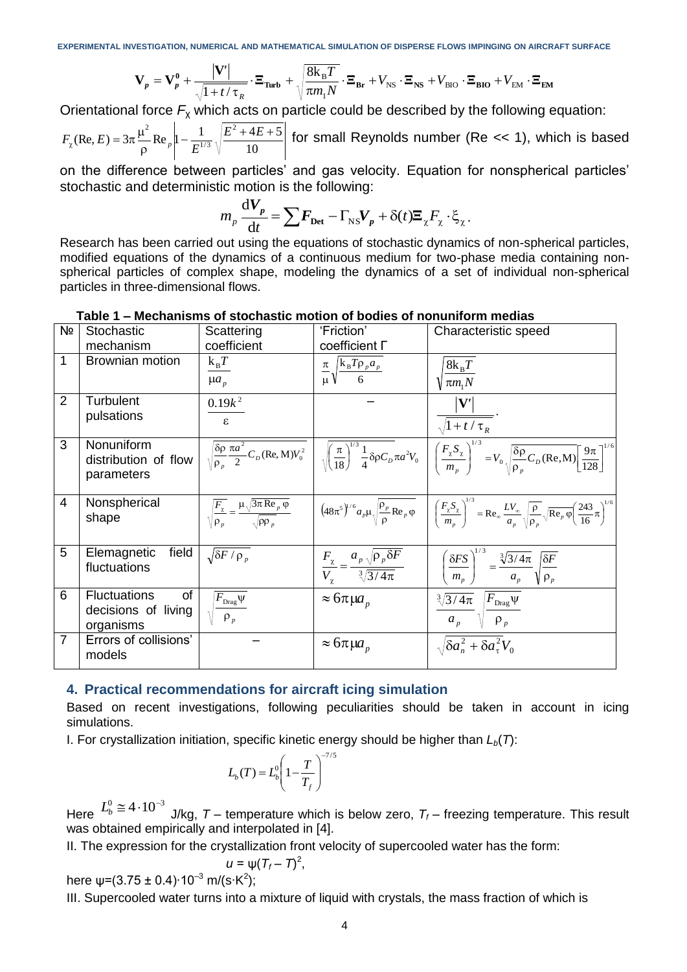$$
\mathbf{V}_p = \mathbf{V}_p^0 + \frac{|\mathbf{V}'|}{\sqrt{1 + t/\tau_R}} \cdot \mathbf{E}_{\text{Turb}} + \sqrt{\frac{8\mathbf{k}_B T}{\pi m_1 N}} \cdot \mathbf{E}_{\text{Br}} + V_{\text{NS}} \cdot \mathbf{E}_{\text{NS}} + V_{\text{BIO}} \cdot \mathbf{E}_{\text{BIO}} + V_{\text{EM}} \cdot \mathbf{E}_{\text{EM}}
$$

Orientational force *F*<sup>χ</sup> which acts on particle could be described by the following equation:

10  $(\text{Re}, E) = 3\pi \frac{\mu^2}{\mu^2} \text{Re}_p \left| 1 - \frac{1}{\pi^{1/3}} \sqrt{\frac{E^2 + 4E + 5}{\mu^2}} \right|$ 1/ 3  $-\text{Re}_p\Big|1-\frac{1}{\Gamma^{1/3}}\Big| \frac{E^2+4E+1}{\Gamma^{1/3}}$  $\rho$ μ  $E_{\chi}$ (Re, E) =  $3\pi \frac{\mu^2}{2}$  Re  $_{p}$   $\left|1 - \frac{1}{E^{1/3}}\sqrt{\frac{E^2 + 4E}{10}}\right|$  $F_{\chi}(\text{Re}, E) = 3\pi \frac{\mu}{\rho} \text{Re}_{p} \left| 1 - \frac{1}{E^{1/3}} \sqrt{\frac{E^2 + 4E + 3}{10}} \right|$  for small Reynolds number (Re << 1), which is based

on the difference between particles' and gas velocity. Equation for nonspherical particles' stochastic and deterministic motion is the following:

$$
m_p \frac{\mathrm{d}V_p}{\mathrm{d}t} = \sum F_{\text{Det}} - \Gamma_{\text{NS}} V_p + \delta(t) \Xi_{\chi} F_{\chi} \cdot \xi_{\chi}.
$$

Research has been carried out using the equations of stochastic dynamics of non-spherical particles, modified equations of the dynamics of a continuous medium for two-phase media containing nonspherical particles of complex shape, modeling the dynamics of a set of individual non-spherical particles in three-dimensional flows.

| Nº             | <b>Stochastic</b><br>mechanism                                | Scattering<br>coefficient                                                                               | 'Friction'<br>Coefficient <sub>D</sub>                                            | Characteristic speed                                                                                                                                                                                                                                                                                                           |
|----------------|---------------------------------------------------------------|---------------------------------------------------------------------------------------------------------|-----------------------------------------------------------------------------------|--------------------------------------------------------------------------------------------------------------------------------------------------------------------------------------------------------------------------------------------------------------------------------------------------------------------------------|
| 1              | Brownian motion                                               | $k_BT$<br>$\mu a_p$                                                                                     | $\frac{\pi}{\mu} \sqrt{\frac{k_B T \rho_p a_p}{6}}$                               | $8k_BT$<br>$\sqrt{\pi m_1 N}$                                                                                                                                                                                                                                                                                                  |
| $\overline{2}$ | Turbulent<br>pulsations                                       | $0.19k^2$<br>$\epsilon$                                                                                 |                                                                                   | $\sqrt{1+t/\tau_R}$                                                                                                                                                                                                                                                                                                            |
| 3              | Nonuniform<br>distribution of flow<br>parameters              |                                                                                                         |                                                                                   | $\sqrt{\frac{\delta \rho}{\rho_p} \frac{\pi a^2}{2} C_D (\text{Re}, \text{M}) V_0^2}$ $\sqrt{\left(\frac{\pi}{18}\right)^{1/3} \frac{1}{4} \delta \rho C_D \pi a^2 V_0$ $\sqrt{\left(\frac{F_x S_x}{m_x}\right)^{1/3}} = V_0 \sqrt{\frac{\delta \rho}{\rho_n} C_D (\text{Re}, \text{M})} \left[\frac{9 \pi}{128}\right]^{1/6}$ |
| 4              | Nonspherical<br>shape                                         | $\sqrt{\frac{F_{\chi}}{\rho_{p}}} = \frac{\mu \sqrt{3\pi \text{Re}_{p} \varphi}}{\sqrt{\rho \rho_{p}}}$ |                                                                                   | $(48\pi^5)^{1/6} a_p \mu \sqrt{\frac{\rho_p}{\rho}} \text{Re}_p \varphi \quad \left  \left( \frac{F_\chi S_\chi}{m_\pi} \right)^{1/3} = \text{Re}_\infty \frac{LV_\infty}{a_\pi} \sqrt{\frac{\rho}{\rho_\pi}} \sqrt{\text{Re}_p \varphi} \left( \frac{243}{16} \pi \right)^{1/6} \right $                                      |
| 5              | Elemagnetic<br>field<br>fluctuations                          | $\sqrt{\delta F / \rho_p}$                                                                              | $\frac{F_{\chi}}{V_{\chi}} = \frac{a_p \sqrt{\rho_p \delta F}}{\sqrt[3]{3/4\pi}}$ | $\left(\frac{\delta FS}{m_p}\right)^{1/3} = \frac{\sqrt[3]{3/4\pi}}{a_p} \sqrt{\frac{\delta F}{\rho_p}}$                                                                                                                                                                                                                       |
| 6              | <b>Fluctuations</b><br>of<br>decisions of living<br>organisms | $F_{\rm Drag}\psi$<br>$\rho_p$                                                                          | $\approx 6\pi \mu a_p$                                                            | $\frac{\sqrt[3]{3/4\pi}}{a_p} \sqrt{\frac{F_{\text{Drag}}\psi}{\rho_p}}$                                                                                                                                                                                                                                                       |
| $\overline{7}$ | Errors of collisions'<br>models                               |                                                                                                         | $\approx 6\pi \mu a_p$                                                            | $\sqrt{\delta a_n^2 + \delta a_\tau^2} V_0$                                                                                                                                                                                                                                                                                    |

**Table 1 – Mechanisms of stochastic motion of bodies of nonuniform medias**

#### **4. Practical recommendations for aircraft icing simulation**

Based on recent investigations, following peculiarities should be taken in account in icing simulations.

I. For crystallization initiation, specific kinetic energy should be higher than  $L<sub>b</sub>(T)$ :

$$
L_b(T) = L_b^0 \left(1 - \frac{T}{T_f}\right)^{-7/5}
$$

Here  $L_b^0 \cong$  4  $\cdot$  10<sup>-3</sup> J/kg, *T* – temperature which is below zero, *T<sub>f</sub>* – freezing temperature. This result was obtained empirically and interpolated in [4].

II. The expression for the crystallization front velocity of supercooled water has the form:

,

$$
u = \psi (T_f - T)^2
$$
  
here  $\psi = (3.75 \pm 0.4) \cdot 10^{-3} \text{ m/(s·K}^2);$ 

III. Supercooled water turns into a mixture of liquid with crystals, the mass fraction of which is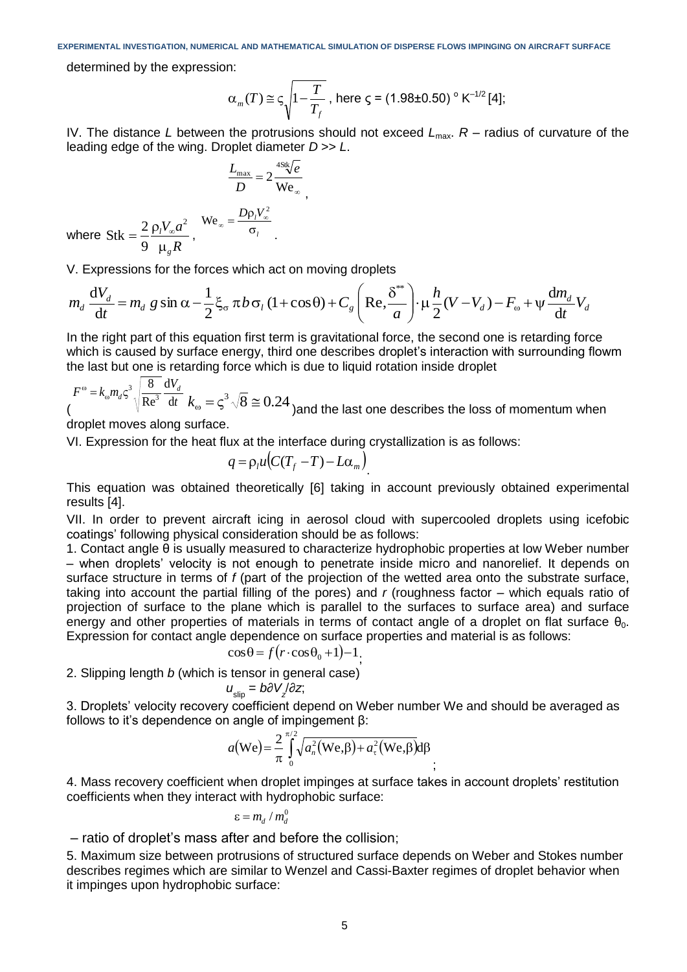determined by the expression:

$$
\alpha_m(T) \approx \varsigma \sqrt{1 - \frac{T}{T_f}}
$$
, here  $\varsigma = (1.98 \pm 0.50) \text{° K}^{-1/2} [4];$ 

IV. The distance *L* between the protrusions should not exceed  $L_{\text{max}}$ .  $R$  – radius of curvature of the leading edge of the wing. Droplet diameter *D* >> *L*.

$$
\frac{L_{\text{max}}}{D} = 2 \frac{48k\sqrt{e}}{We_{\infty}},
$$

$$
e_{\infty} = \frac{D\rho_{l}V_{\infty}^{2}}{\sigma_{l}}
$$

where *R V a g l*  $\mu$  $=\frac{2}{2}\frac{\rho_l V_{\infty}}{V_{\infty}}$ 2 9  $Stk = \frac{2}{3} \frac{\rho_l V_{\infty} a^2}{R}$ , We

V. Expressions for the forces which act on moving droplets

$$
m_d \frac{dV_d}{dt} = m_d g \sin \alpha - \frac{1}{2} \xi_\sigma \pi b \sigma_l (1 + \cos \theta) + C_g \left( \text{Re}, \frac{\delta^*}{a} \right) \cdot \mu \frac{h}{2} (V - V_d) - F_\omega + \psi \frac{dm_d}{dt} V_d
$$

In the right part of this equation first term is gravitational force, the second one is retarding force which is caused by surface energy, third one describes droplet's interaction with surrounding flowm the last but one is retarding force which is due to liquid rotation inside droplet

$$
F^{\circ} = k_{\circ} m_{d} \varsigma^{3} \sqrt{\frac{8}{Re^{3}}} \frac{dV_{d}}{dt} k_{\circ} = \varsigma^{3} \sqrt{8} \approx 0.24
$$
 and the last one describes the loss of momentum when

droplet moves along surface.

VI. Expression for the heat flux at the interface during crystallization is as follows:

$$
q = \rho_l u (C(T_f - T) - L\alpha_m)
$$

This equation was obtained theoretically [6] taking in account previously obtained experimental results [4].

VII. In order to prevent aircraft icing in aerosol cloud with supercooled droplets using icefobic coatings' following physical consideration should be as follows:

1. Contact angle θ is usually measured to characterize hydrophobic properties at low Weber number – when droplets' velocity is not enough to penetrate inside micro and nanorelief. It depends on surface structure in terms of *f* (part of the projection of the wetted area onto the substrate surface, taking into account the partial filling of the pores) and *r* (roughness factor – which equals ratio of projection of surface to the plane which is parallel to the surfaces to surface area) and surface energy and other properties of materials in terms of contact angle of a droplet on flat surface  $\theta_0$ . Expression for contact angle dependence on surface properties and material is as follows:

$$
\cos\theta = f(r \cdot \cos\theta_0 + 1) - 1;
$$

2. Slipping length *b* (which is tensor in general case)

$$
u_{\text{slip}} = b\partial V / \partial z,
$$

3. Droplets' velocity recovery coefficient depend on Weber number We and should be averaged as follows to it's dependence on angle of impingement β:

$$
a(\text{We}) = \frac{2}{\pi} \int_{0}^{\pi/2} \sqrt{a_n^2(\text{We}, \beta) + a_\tau^2(\text{We}, \beta)} d\beta
$$

4. Mass recovery coefficient when droplet impinges at surface takes in account droplets' restitution coefficients when they interact with hydrophobic surface:

$$
\varepsilon = m_d / m_d^0
$$

– ratio of droplet's mass after and before the collision;

5. Maximum size between protrusions of structured surface depends on Weber and Stokes number describes regimes which are similar to Wenzel and Cassi-Baxter regimes of droplet behavior when it impinges upon hydrophobic surface: